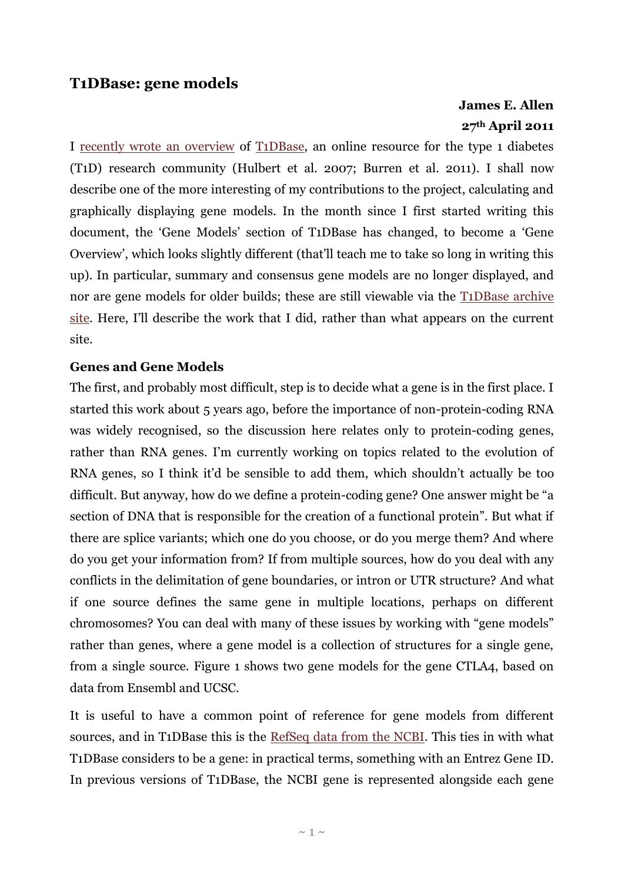## **T1DBase: gene models**

# **James E. Allen 27th April 2011**

I [recently wrote an overview](http://www.monkeyshines.co.uk/blog/archives/324) of [T1DBase,](http://www.t1dbase.org/) an online resource for the type 1 diabetes (T1D) research community (Hulbert et al. 2007; Burren et al. 2011). I shall now describe one of the more interesting of my contributions to the project, calculating and graphically displaying gene models. In the month since I first started writing this document, the "Gene Models" section of T1DBase has changed, to become a "Gene Overview", which looks slightly different (that"ll teach me to take so long in writing this up). In particular, summary and consensus gene models are no longer displayed, and nor are gene models for older builds; these are still viewable via the [T1DBase archive](http://archive.t1dbase.org/)  [site.](http://archive.t1dbase.org/) Here, I"ll describe the work that I did, rather than what appears on the current site.

#### **Genes and Gene Models**

The first, and probably most difficult, step is to decide what a gene is in the first place. I started this work about 5 years ago, before the importance of non-protein-coding RNA was widely recognised, so the discussion here relates only to protein-coding genes, rather than RNA genes. I'm currently working on topics related to the evolution of RNA genes, so I think it'd be sensible to add them, which shouldn't actually be too difficult. But anyway, how do we define a protein-coding gene? One answer might be "a section of DNA that is responsible for the creation of a functional protein". But what if there are splice variants; which one do you choose, or do you merge them? And where do you get your information from? If from multiple sources, how do you deal with any conflicts in the delimitation of gene boundaries, or intron or UTR structure? And what if one source defines the same gene in multiple locations, perhaps on different chromosomes? You can deal with many of these issues by working with "gene models" rather than genes, where a gene model is a collection of structures for a single gene, from a single source. Figure 1 shows two gene models for the gene CTLA4, based on data from Ensembl and UCSC.

It is useful to have a common point of reference for gene models from different sources, and in T1DBase this is the [RefSeq data from the NCBI.](http://www.ncbi.nlm.nih.gov/gene) This ties in with what T1DBase considers to be a gene: in practical terms, something with an Entrez Gene ID. In previous versions of T1DBase, the NCBI gene is represented alongside each gene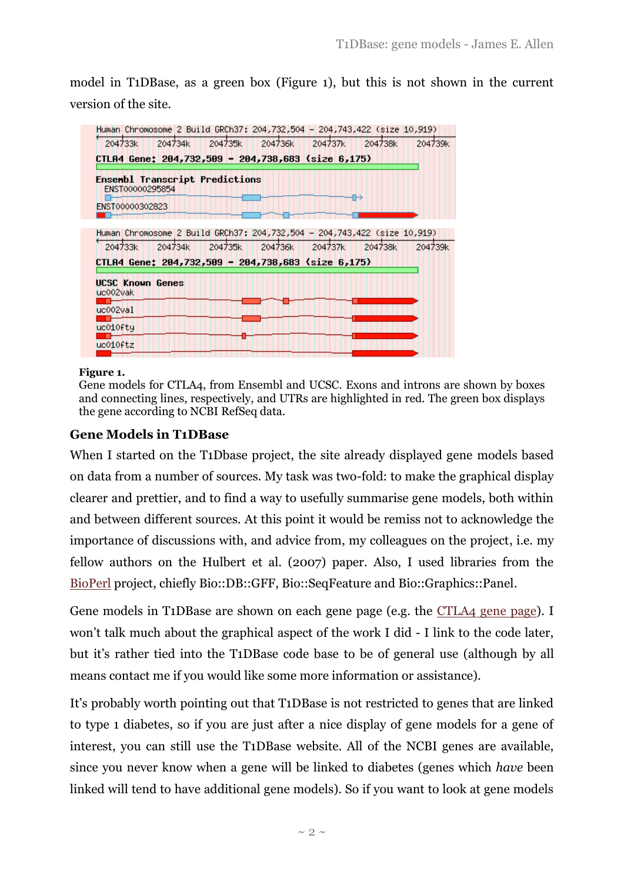model in T1DBase, as a green box (Figure 1), but this is not shown in the current version of the site.

| Human Chromosome 2 Build GRCh37: 204,732,504 - 204,743,422 (size 10,919) |         |         |         |                                             |         |         |
|--------------------------------------------------------------------------|---------|---------|---------|---------------------------------------------|---------|---------|
| 204733k                                                                  | 204734k | 204735k | 204736k | 204737k                                     | 204738k | 204739k |
| CTLA4 Gene: 204,732,509 - 204,738,683 (size 6,175)                       |         |         |         |                                             |         |         |
| Ensembl Transcript Predictions<br>ENST00000295854                        |         |         |         |                                             |         |         |
|                                                                          |         |         |         |                                             |         |         |
| ENST00000302823                                                          |         |         |         |                                             |         |         |
|                                                                          |         |         |         |                                             |         |         |
| Human Chromosome 2 Build GRCh37: 204,732,504 - 204,743,422 (size 10,919) |         |         |         |                                             |         |         |
| 204733k                                                                  |         |         |         | 204734k     204735k     204736k     204737k | 204738k | 204739k |
| CTLA4 Gene: 204,732,509 - 204,738,683 (size 6,175)                       |         |         |         |                                             |         |         |
| UCSC Known Genes                                                         |         |         |         |                                             |         |         |
| uc002vak                                                                 |         |         |         |                                             |         |         |
| uc002val                                                                 |         |         |         |                                             |         |         |
| uc010fty                                                                 |         |         |         |                                             |         |         |
| uc010ftz                                                                 |         |         |         |                                             |         |         |
|                                                                          |         |         |         |                                             |         |         |

#### **Figure 1.**

#### **Gene Models in T1DBase**

When I started on the T1Dbase project, the site already displayed gene models based on data from a number of sources. My task was two-fold: to make the graphical display clearer and prettier, and to find a way to usefully summarise gene models, both within and between different sources. At this point it would be remiss not to acknowledge the importance of discussions with, and advice from, my colleagues on the project, i.e. my fellow authors on the Hulbert et al. (2007) paper. Also, I used libraries from the [BioPerl](http://www.bioperl.org/) project, chiefly Bio::DB::GFF, Bio::SeqFeature and Bio::Graphics::Panel.

Gene models in T1DBase are shown on each gene page (e.g. the [CTLA4 gene page\)](http://www.t1dbase.org/page/Overview/display/gene_id/1493#Gene_Overview). I won"t talk much about the graphical aspect of the work I did - I link to the code later, but it's rather tied into the T1DBase code base to be of general use (although by all means contact me if you would like some more information or assistance).

It's probably worth pointing out that T1DBase is not restricted to genes that are linked to type 1 diabetes, so if you are just after a nice display of gene models for a gene of interest, you can still use the T1DBase website. All of the NCBI genes are available, since you never know when a gene will be linked to diabetes (genes which *have* been linked will tend to have additional gene models). So if you want to look at gene models

Gene models for CTLA4, from Ensembl and UCSC. Exons and introns are shown by boxes and connecting lines, respectively, and UTRs are highlighted in red. The green box displays the gene according to NCBI RefSeq data.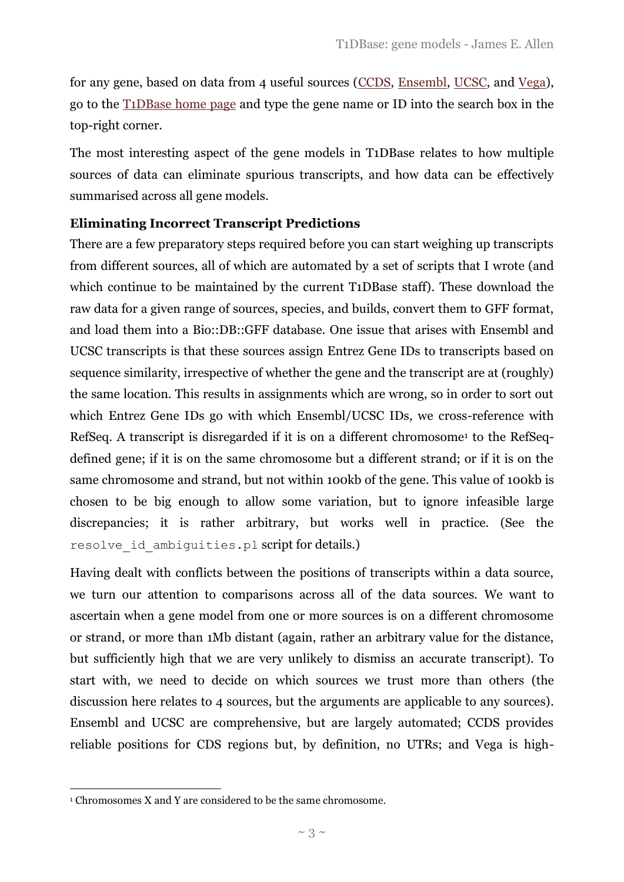for any gene, based on data from 4 useful sources [\(CCDS,](http://www.ncbi.nlm.nih.gov/CCDS) [Ensembl,](http://www.ensembl.org/) [UCSC,](http://genome.ucsc.edu/cgi-bin/hgGateway) and [Vega\)](http://vega.sanger.ac.uk/), go to the [T1DBase home page](http://t1dbase.org/) and type the gene name or ID into the search box in the top-right corner.

The most interesting aspect of the gene models in T1DBase relates to how multiple sources of data can eliminate spurious transcripts, and how data can be effectively summarised across all gene models.

#### **Eliminating Incorrect Transcript Predictions**

There are a few preparatory steps required before you can start weighing up transcripts from different sources, all of which are automated by a set of scripts that I wrote (and which continue to be maintained by the current T1DBase staff). These download the raw data for a given range of sources, species, and builds, convert them to GFF format, and load them into a Bio::DB::GFF database. One issue that arises with Ensembl and UCSC transcripts is that these sources assign Entrez Gene IDs to transcripts based on sequence similarity, irrespective of whether the gene and the transcript are at (roughly) the same location. This results in assignments which are wrong, so in order to sort out which Entrez Gene IDs go with which Ensembl/UCSC IDs, we cross-reference with RefSeq. A transcript is disregarded if it is on a different chromosome<sup>1</sup> to the RefSeqdefined gene; if it is on the same chromosome but a different strand; or if it is on the same chromosome and strand, but not within 100kb of the gene. This value of 100kb is chosen to be big enough to allow some variation, but to ignore infeasible large discrepancies; it is rather arbitrary, but works well in practice. (See the resolve id ambiguities.pl script for details.)

Having dealt with conflicts between the positions of transcripts within a data source, we turn our attention to comparisons across all of the data sources. We want to ascertain when a gene model from one or more sources is on a different chromosome or strand, or more than 1Mb distant (again, rather an arbitrary value for the distance, but sufficiently high that we are very unlikely to dismiss an accurate transcript). To start with, we need to decide on which sources we trust more than others (the discussion here relates to 4 sources, but the arguments are applicable to any sources). Ensembl and UCSC are comprehensive, but are largely automated; CCDS provides reliable positions for CDS regions but, by definition, no UTRs; and Vega is high-

<u>.</u>

<sup>1</sup> Chromosomes X and Y are considered to be the same chromosome.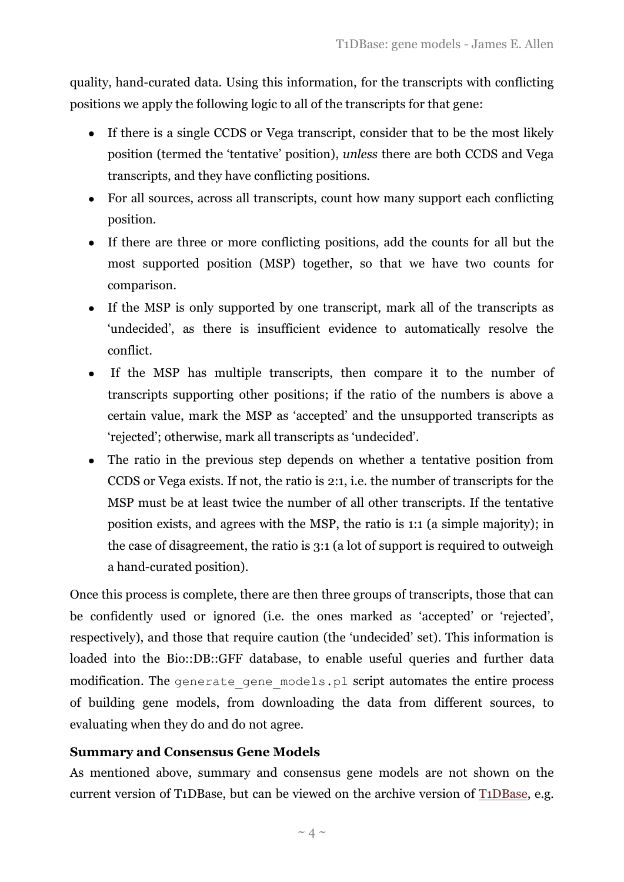quality, hand-curated data. Using this information, for the transcripts with conflicting positions we apply the following logic to all of the transcripts for that gene:

- If there is a single CCDS or Vega transcript, consider that to be the most likely position (termed the "tentative" position), *unless* there are both CCDS and Vega transcripts, and they have conflicting positions.
- For all sources, across all transcripts, count how many support each conflicting position.
- If there are three or more conflicting positions, add the counts for all but the most supported position (MSP) together, so that we have two counts for comparison.
- If the MSP is only supported by one transcript, mark all of the transcripts as "undecided", as there is insufficient evidence to automatically resolve the conflict.
- If the MSP has multiple transcripts, then compare it to the number of transcripts supporting other positions; if the ratio of the numbers is above a certain value, mark the MSP as "accepted" and the unsupported transcripts as "rejected"; otherwise, mark all transcripts as 'undecided'.
- The ratio in the previous step depends on whether a tentative position from  $\bullet$ CCDS or Vega exists. If not, the ratio is 2:1, i.e. the number of transcripts for the MSP must be at least twice the number of all other transcripts. If the tentative position exists, and agrees with the MSP, the ratio is 1:1 (a simple majority); in the case of disagreement, the ratio is 3:1 (a lot of support is required to outweigh a hand-curated position).

Once this process is complete, there are then three groups of transcripts, those that can be confidently used or ignored (i.e. the ones marked as "accepted" or "rejected", respectively), and those that require caution (the "undecided" set). This information is loaded into the Bio::DB::GFF database, to enable useful queries and further data modification. The generate gene models.pl script automates the entire process of building gene models, from downloading the data from different sources, to evaluating when they do and do not agree.

## **Summary and Consensus Gene Models**

As mentioned above, summary and consensus gene models are not shown on the current version of T1DBase, but can be viewed on the archive version of [T1DBase,](http://archive.t1dbase.org/) e.g.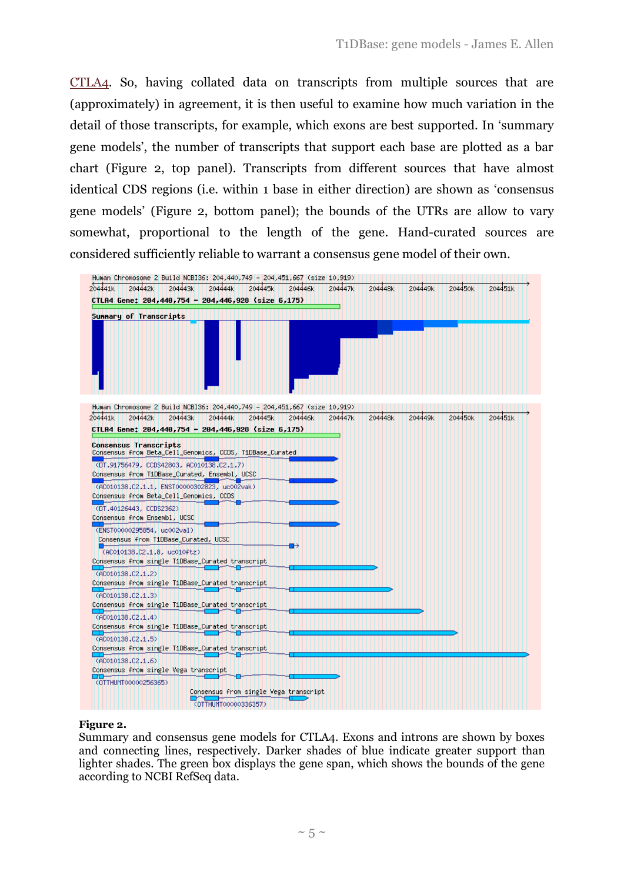[CTLA4.](http://archive.t1dbase.org/page/Overview/display/gene_id/1493#Gene_Models) So, having collated data on transcripts from multiple sources that are (approximately) in agreement, it is then useful to examine how much variation in the detail of those transcripts, for example, which exons are best supported. In "summary gene models", the number of transcripts that support each base are plotted as a bar chart (Figure 2, top panel). Transcripts from different sources that have almost identical CDS regions (i.e. within 1 base in either direction) are shown as "consensus gene models" (Figure 2, bottom panel); the bounds of the UTRs are allow to vary somewhat, proportional to the length of the gene. Hand-curated sources are considered sufficiently reliable to warrant a consensus gene model of their own.



#### **Figure 2.**

Summary and consensus gene models for CTLA4. Exons and introns are shown by boxes and connecting lines, respectively. Darker shades of blue indicate greater support than lighter shades. The green box displays the gene span, which shows the bounds of the gene according to NCBI RefSeq data.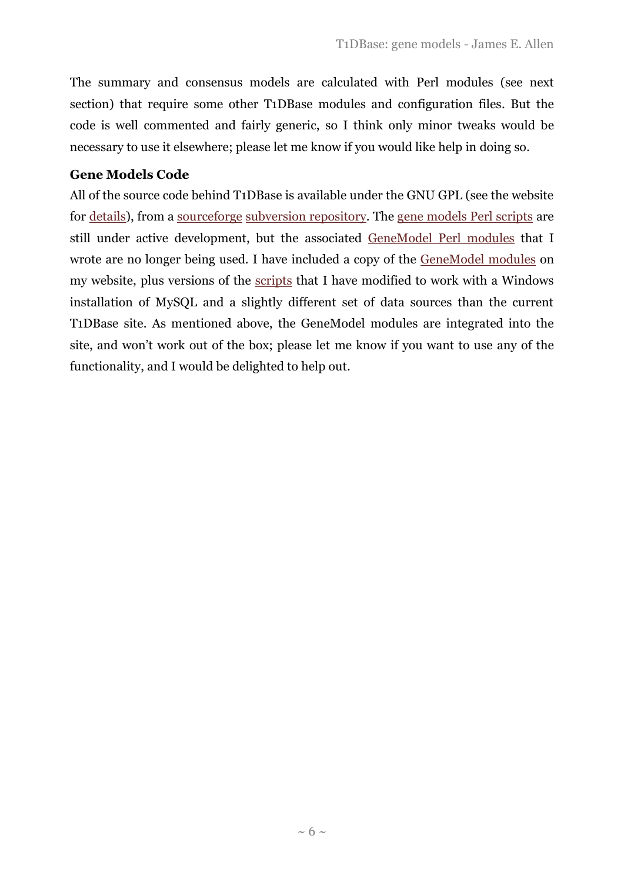The summary and consensus models are calculated with Perl modules (see next section) that require some other T1DBase modules and configuration files. But the code is well commented and fairly generic, so I think only minor tweaks would be necessary to use it elsewhere; please let me know if you would like help in doing so.

## **Gene Models Code**

All of the source code behind T1DBase is available under the GNU GPL (see the website for [details\)](http://www.t1dbase.org/page/Copyright), from a [sourceforge](http://sourceforge.net/) [subversion repository.](http://t1dbase.svn.sourceforge.net/viewvc/t1dbase/trunk) The [gene models Perl scripts](http://t1dbase.svn.sourceforge.net/viewvc/t1dbase/trunk/GDxBase/scripts/gene_models) are still under active development, but the associated GeneModel [Perl modules](http://t1dbase.svn.sourceforge.net/viewvc/t1dbase/branches/release_4_3_branch_20110125/GDxBase/lib/GDxBase/GeneModel/?pathrev=10179) that I wrote are no longer being used. I have included a copy of the [GeneModel modules](http://www.monkeyshines.co.uk/gene_models.php) on my website, plus versions of the [scripts](http://www.monkeyshines.co.uk/gene_models.php) that I have modified to work with a Windows installation of MySQL and a slightly different set of data sources than the current T1DBase site. As mentioned above, the GeneModel modules are integrated into the site, and won"t work out of the box; please let me know if you want to use any of the functionality, and I would be delighted to help out.